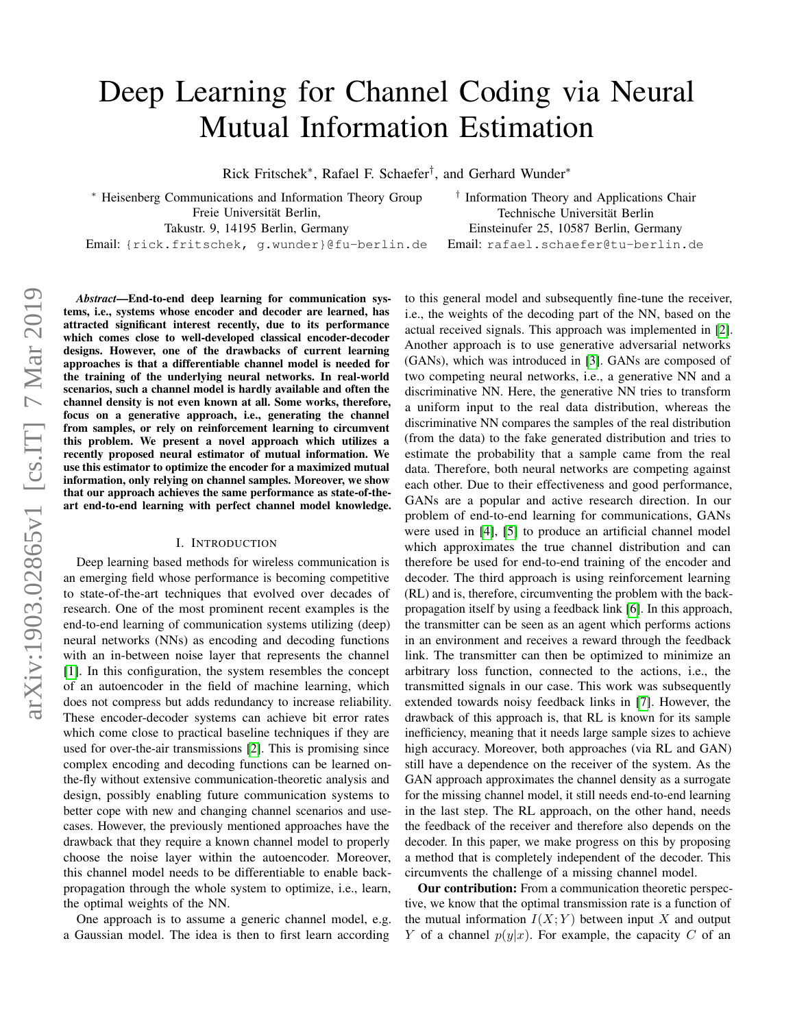# Deep Learning for Channel Coding via Neural Mutual Information Estimation

Rick Fritschek<sup>∗</sup> , Rafael F. Schaefer† , and Gerhard Wunder<sup>∗</sup>

<sup>∗</sup> Heisenberg Communications and Information Theory Group Freie Universität Berlin, Takustr. 9, 14195 Berlin, Germany

† Information Theory and Applications Chair Technische Universität Berlin Einsteinufer 25, 10587 Berlin, Germany Email: rafael.schaefer@tu-berlin.de

Email: {rick.fritschek, g.wunder}@fu-berlin.de

*Abstract*—End-to-end deep learning for communication systems, i.e., systems whose encoder and decoder are learned, has attracted significant interest recently, due to its performance which comes close to well-developed classical encoder-decoder designs. However, one of the drawbacks of current learning approaches is that a differentiable channel model is needed for the training of the underlying neural networks. In real-world scenarios, such a channel model is hardly available and often the channel density is not even known at all. Some works, therefore, focus on a generative approach, i.e., generating the channel from samples, or rely on reinforcement learning to circumvent this problem. We present a novel approach which utilizes a recently proposed neural estimator of mutual information. We use this estimator to optimize the encoder for a maximized mutual information, only relying on channel samples. Moreover, we show that our approach achieves the same performance as state-of-theart end-to-end learning with perfect channel model knowledge.

# I. INTRODUCTION

Deep learning based methods for wireless communication is an emerging field whose performance is becoming competitive to state-of-the-art techniques that evolved over decades of research. One of the most prominent recent examples is the end-to-end learning of communication systems utilizing (deep) neural networks (NNs) as encoding and decoding functions with an in-between noise layer that represents the channel [\[1\]](#page-4-0). In this configuration, the system resembles the concept of an autoencoder in the field of machine learning, which does not compress but adds redundancy to increase reliability. These encoder-decoder systems can achieve bit error rates which come close to practical baseline techniques if they are used for over-the-air transmissions [\[2\]](#page-4-1). This is promising since complex encoding and decoding functions can be learned onthe-fly without extensive communication-theoretic analysis and design, possibly enabling future communication systems to better cope with new and changing channel scenarios and usecases. However, the previously mentioned approaches have the drawback that they require a known channel model to properly choose the noise layer within the autoencoder. Moreover, this channel model needs to be differentiable to enable backpropagation through the whole system to optimize, i.e., learn, the optimal weights of the NN.

One approach is to assume a generic channel model, e.g. a Gaussian model. The idea is then to first learn according

to this general model and subsequently fine-tune the receiver, i.e., the weights of the decoding part of the NN, based on the actual received signals. This approach was implemented in [\[2\]](#page-4-1). Another approach is to use generative adversarial networks (GANs), which was introduced in [\[3\]](#page-4-2). GANs are composed of two competing neural networks, i.e., a generative NN and a discriminative NN. Here, the generative NN tries to transform a uniform input to the real data distribution, whereas the discriminative NN compares the samples of the real distribution (from the data) to the fake generated distribution and tries to estimate the probability that a sample came from the real data. Therefore, both neural networks are competing against each other. Due to their effectiveness and good performance, GANs are a popular and active research direction. In our problem of end-to-end learning for communications, GANs were used in [\[4\]](#page-4-3), [\[5\]](#page-4-4) to produce an artificial channel model which approximates the true channel distribution and can therefore be used for end-to-end training of the encoder and decoder. The third approach is using reinforcement learning (RL) and is, therefore, circumventing the problem with the backpropagation itself by using a feedback link [\[6\]](#page-4-5). In this approach, the transmitter can be seen as an agent which performs actions in an environment and receives a reward through the feedback link. The transmitter can then be optimized to minimize an arbitrary loss function, connected to the actions, i.e., the transmitted signals in our case. This work was subsequently extended towards noisy feedback links in [\[7\]](#page-4-6). However, the drawback of this approach is, that RL is known for its sample inefficiency, meaning that it needs large sample sizes to achieve high accuracy. Moreover, both approaches (via RL and GAN) still have a dependence on the receiver of the system. As the GAN approach approximates the channel density as a surrogate for the missing channel model, it still needs end-to-end learning in the last step. The RL approach, on the other hand, needs the feedback of the receiver and therefore also depends on the decoder. In this paper, we make progress on this by proposing a method that is completely independent of the decoder. This circumvents the challenge of a missing channel model.

Our contribution: From a communication theoretic perspective, we know that the optimal transmission rate is a function of the mutual information  $I(X; Y)$  between input X and output Y of a channel  $p(y|x)$ . For example, the capacity C of an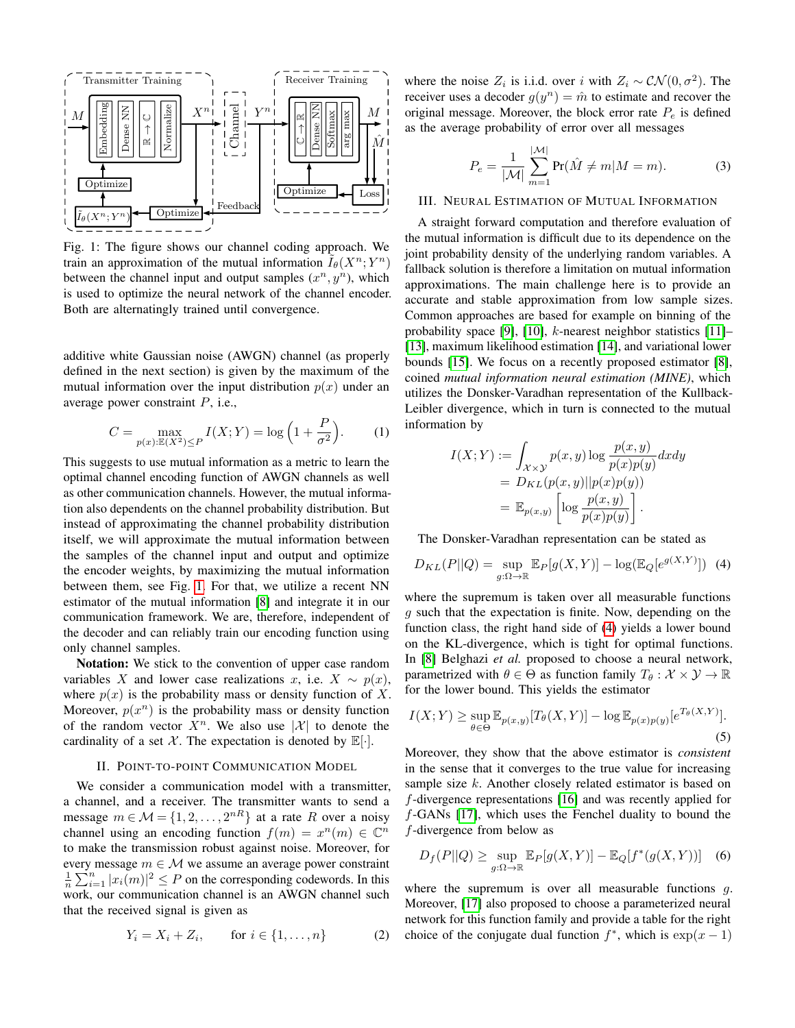<span id="page-1-0"></span>

Fig. 1: The figure shows our channel coding approach. We train an approximation of the mutual information  $\widetilde{I}_{\theta}(X^n;Y^n)$ between the channel input and output samples  $(x^n, y^n)$ , which is used to optimize the neural network of the channel encoder. Both are alternatingly trained until convergence.

additive white Gaussian noise (AWGN) channel (as properly defined in the next section) is given by the maximum of the mutual information over the input distribution  $p(x)$  under an average power constraint  $P$ , i.e.,

$$
C = \max_{p(x): \mathbb{E}(X^2) \le P} I(X;Y) = \log\left(1 + \frac{P}{\sigma^2}\right).
$$
 (1)

This suggests to use mutual information as a metric to learn the optimal channel encoding function of AWGN channels as well as other communication channels. However, the mutual information also dependents on the channel probability distribution. But instead of approximating the channel probability distribution itself, we will approximate the mutual information between the samples of the channel input and output and optimize the encoder weights, by maximizing the mutual information between them, see Fig. [1.](#page-1-0) For that, we utilize a recent NN estimator of the mutual information [\[8\]](#page-4-7) and integrate it in our communication framework. We are, therefore, independent of the decoder and can reliably train our encoding function using only channel samples.

Notation: We stick to the convention of upper case random variables X and lower case realizations x, i.e.  $X \sim p(x)$ , where  $p(x)$  is the probability mass or density function of X. Moreover,  $p(x^n)$  is the probability mass or density function of the random vector  $X^n$ . We also use  $|\mathcal{X}|$  to denote the cardinality of a set  $X$ . The expectation is denoted by  $\mathbb{E}[\cdot]$ .

# II. POINT-TO-POINT COMMUNICATION MODEL

<span id="page-1-3"></span>We consider a communication model with a transmitter, a channel, and a receiver. The transmitter wants to send a message  $m \in \mathcal{M} = \{1, 2, ..., 2^{nR}\}\$ at a rate R over a noisy channel using an encoding function  $f(m) = x^n(m) \in \mathbb{C}^n$ to make the transmission robust against noise. Moreover, for every message  $m \in \mathcal{M}$  we assume an average power constraint  $\frac{1}{n} \sum_{i=1}^{n} |x_i(m)|^2 \leq P$  on the corresponding codewords. In this work, our communication channel is an AWGN channel such that the received signal is given as

$$
Y_i = X_i + Z_i
$$
, for  $i \in \{1, ..., n\}$  (2)

where the noise  $Z_i$  is i.i.d. over i with  $Z_i \sim \mathcal{CN}(0, \sigma^2)$ . The receiver uses a decoder  $g(y^n) = \hat{m}$  to estimate and recover the original message. Moreover, the block error rate  $P_e$  is defined as the average probability of error over all messages

$$
P_e = \frac{1}{|\mathcal{M}|} \sum_{m=1}^{|\mathcal{M}|} \Pr(\hat{M} \neq m | M = m).
$$
 (3)

## III. NEURAL ESTIMATION OF MUTUAL INFORMATION

A straight forward computation and therefore evaluation of the mutual information is difficult due to its dependence on the joint probability density of the underlying random variables. A fallback solution is therefore a limitation on mutual information approximations. The main challenge here is to provide an accurate and stable approximation from low sample sizes. Common approaches are based for example on binning of the probability space [\[9\]](#page-4-8), [\[10\]](#page-4-9), k-nearest neighbor statistics [\[11\]](#page-4-10)– [\[13\]](#page-4-11), maximum likelihood estimation [\[14\]](#page-4-12), and variational lower bounds [\[15\]](#page-4-13). We focus on a recently proposed estimator [\[8\]](#page-4-7), coined *mutual information neural estimation (MINE)*, which utilizes the Donsker-Varadhan representation of the Kullback-Leibler divergence, which in turn is connected to the mutual information by

<span id="page-1-1"></span>
$$
I(X;Y) := \int_{\mathcal{X}\times\mathcal{Y}} p(x,y) \log \frac{p(x,y)}{p(x)p(y)} dxdy
$$
  
=  $D_{KL}(p(x,y)||p(x)p(y))$   
=  $\mathbb{E}_{p(x,y)} \left[ \log \frac{p(x,y)}{p(x)p(y)} \right].$ 

The Donsker-Varadhan representation can be stated as

$$
D_{KL}(P||Q) = \sup_{g:\Omega \to \mathbb{R}} \mathbb{E}_P[g(X,Y)] - \log(\mathbb{E}_Q[e^{g(X,Y)}]) \tag{4}
$$

where the supremum is taken over all measurable functions g such that the expectation is finite. Now, depending on the function class, the right hand side of [\(4\)](#page-1-1) yields a lower bound on the KL-divergence, which is tight for optimal functions. In [\[8\]](#page-4-7) Belghazi *et al.* proposed to choose a neural network, parametrized with  $\theta \in \Theta$  as function family  $T_{\theta}: \mathcal{X} \times \mathcal{Y} \to \mathbb{R}$ for the lower bound. This yields the estimator

<span id="page-1-2"></span>
$$
I(X;Y) \ge \sup_{\theta \in \Theta} \mathbb{E}_{p(x,y)}[T_{\theta}(X,Y)] - \log \mathbb{E}_{p(x)p(y)}[e^{T_{\theta}(X,Y)}].
$$
\n(5)

Moreover, they show that the above estimator is *consistent* in the sense that it converges to the true value for increasing sample size k. Another closely related estimator is based on f-divergence representations [\[16\]](#page-4-14) and was recently applied for f-GANs [\[17\]](#page-4-15), which uses the Fenchel duality to bound the f-divergence from below as

$$
D_f(P||Q) \ge \sup_{g:\Omega \to \mathbb{R}} \mathbb{E}_P[g(X,Y)] - \mathbb{E}_Q[f^*(g(X,Y))]
$$
 (6)

where the supremum is over all measurable functions  $q$ . Moreover, [\[17\]](#page-4-15) also proposed to choose a parameterized neural network for this function family and provide a table for the right choice of the conjugate dual function  $f^*$ , which is  $\exp(x-1)$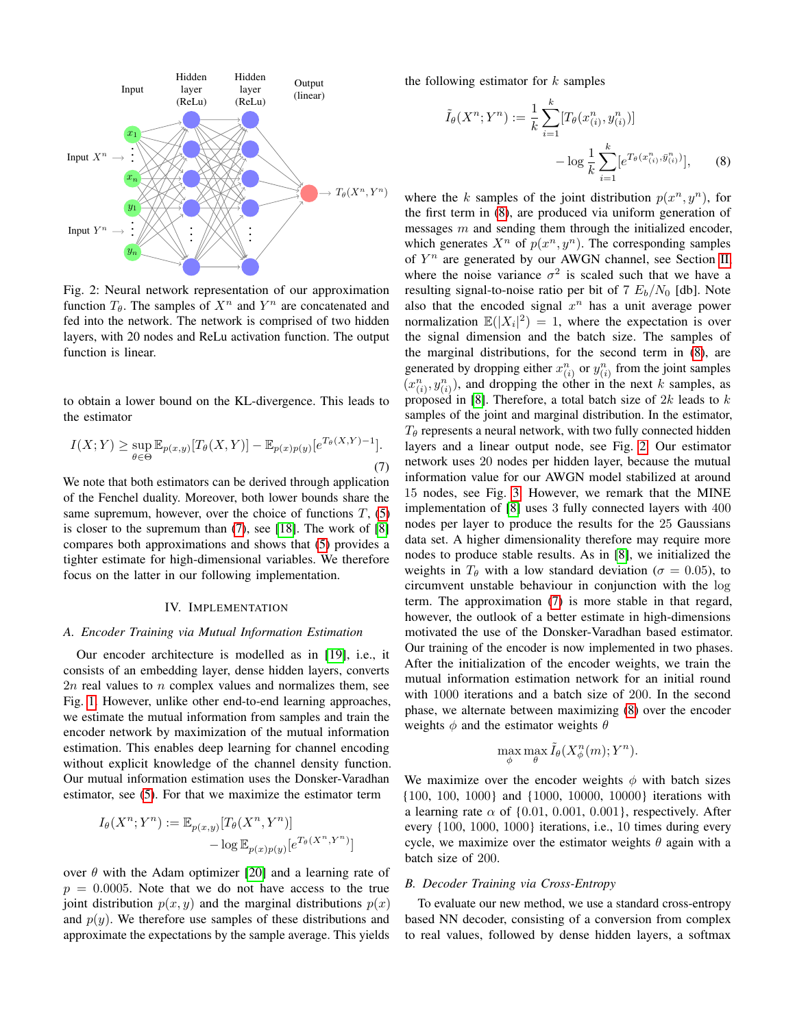<span id="page-2-1"></span>

Fig. 2: Neural network representation of our approximation function  $T_{\theta}$ . The samples of  $X^n$  and  $Y^n$  are concatenated and fed into the network. The network is comprised of two hidden layers, with 20 nodes and ReLu activation function. The output function is linear.

<span id="page-2-0"></span>to obtain a lower bound on the KL-divergence. This leads to the estimator

$$
I(X;Y) \ge \sup_{\theta \in \Theta} \mathbb{E}_{p(x,y)}[T_{\theta}(X,Y)] - \mathbb{E}_{p(x)p(y)}[e^{T_{\theta}(X,Y)-1}].
$$
\n(7)

We note that both estimators can be derived through application of the Fenchel duality. Moreover, both lower bounds share the same supremum, however, over the choice of functions  $T$ , [\(5\)](#page-1-2) is closer to the supremum than [\(7\)](#page-2-0), see [\[18\]](#page-4-16). The work of [\[8\]](#page-4-7) compares both approximations and shows that [\(5\)](#page-1-2) provides a tighter estimate for high-dimensional variables. We therefore focus on the latter in our following implementation.

# IV. IMPLEMENTATION

#### <span id="page-2-2"></span>*A. Encoder Training via Mutual Information Estimation*

Our encoder architecture is modelled as in [\[19\]](#page-4-17), i.e., it consists of an embedding layer, dense hidden layers, converts  $2n$  real values to n complex values and normalizes them, see Fig. [1.](#page-1-0) However, unlike other end-to-end learning approaches, we estimate the mutual information from samples and train the encoder network by maximization of the mutual information estimation. This enables deep learning for channel encoding without explicit knowledge of the channel density function. Our mutual information estimation uses the Donsker-Varadhan estimator, see [\(5\)](#page-1-2). For that we maximize the estimator term

$$
I_{\theta}(X^n; Y^n) := \mathbb{E}_{p(x,y)}[T_{\theta}(X^n, Y^n)] - \log \mathbb{E}_{p(x)p(y)}[e^{T_{\theta}(X^n, Y^n)}]
$$

over  $\theta$  with the Adam optimizer [\[20\]](#page-4-18) and a learning rate of  $p = 0.0005$ . Note that we do not have access to the true joint distribution  $p(x, y)$  and the marginal distributions  $p(x)$ and  $p(y)$ . We therefore use samples of these distributions and approximate the expectations by the sample average. This yields the following estimator for  $k$  samples

$$
\tilde{I}_{\theta}(X^{n}; Y^{n}) := \frac{1}{k} \sum_{i=1}^{k} [T_{\theta}(x_{(i)}^{n}, y_{(i)}^{n})] - \log \frac{1}{k} \sum_{i=1}^{k} [e^{T_{\theta}(x_{(i)}^{n}, \bar{y}_{(i)}^{n})}],
$$
\n(8)

where the k samples of the joint distribution  $p(x^n, y^n)$ , for the first term in [\(8\)](#page-2-1), are produced via uniform generation of messages  $m$  and sending them through the initialized encoder, which generates  $X^n$  of  $p(x^n, y^n)$ . The corresponding samples of  $Y^n$  are generated by our AWGN channel, see Section [II,](#page-1-3) where the noise variance  $\sigma^2$  is scaled such that we have a resulting signal-to-noise ratio per bit of 7  $E_b/N_0$  [db]. Note also that the encoded signal  $x^n$  has a unit average power normalization  $\mathbb{E}(|X_i|^2) = 1$ , where the expectation is over the signal dimension and the batch size. The samples of the marginal distributions, for the second term in [\(8\)](#page-2-1), are generated by dropping either  $x_{(i)}^n$  or  $y_{(i)}^n$  from the joint samples  $(x_{(i)}^n, y_{(i)}^n)$ , and dropping the other in the next k samples, as proposed in [\[8\]](#page-4-7). Therefore, a total batch size of  $2k$  leads to  $k$ samples of the joint and marginal distribution. In the estimator,  $T_{\theta}$  represents a neural network, with two fully connected hidden layers and a linear output node, see Fig. [2.](#page-2-1) Our estimator network uses 20 nodes per hidden layer, because the mutual information value for our AWGN model stabilized at around 15 nodes, see Fig. [3.](#page-3-0) However, we remark that the MINE implementation of [\[8\]](#page-4-7) uses 3 fully connected layers with 400 nodes per layer to produce the results for the 25 Gaussians data set. A higher dimensionality therefore may require more nodes to produce stable results. As in [\[8\]](#page-4-7), we initialized the weights in  $T_\theta$  with a low standard deviation ( $\sigma = 0.05$ ), to circumvent unstable behaviour in conjunction with the log term. The approximation [\(7\)](#page-2-0) is more stable in that regard, however, the outlook of a better estimate in high-dimensions motivated the use of the Donsker-Varadhan based estimator. Our training of the encoder is now implemented in two phases. After the initialization of the encoder weights, we train the mutual information estimation network for an initial round with 1000 iterations and a batch size of 200. In the second phase, we alternate between maximizing [\(8\)](#page-2-1) over the encoder weights  $\phi$  and the estimator weights  $\theta$ 

$$
\max_{\phi} \max_{\theta} \tilde{I}_{\theta}(X_{\phi}^n(m); Y^n).
$$

We maximize over the encoder weights  $\phi$  with batch sizes {100, 100, 1000} and {1000, 10000, 10000} iterations with a learning rate  $\alpha$  of {0.01, 0.001, 0.001}, respectively. After every {100, 1000, 1000} iterations, i.e., 10 times during every cycle, we maximize over the estimator weights  $\theta$  again with a batch size of 200.

# *B. Decoder Training via Cross-Entropy*

To evaluate our new method, we use a standard cross-entropy based NN decoder, consisting of a conversion from complex to real values, followed by dense hidden layers, a softmax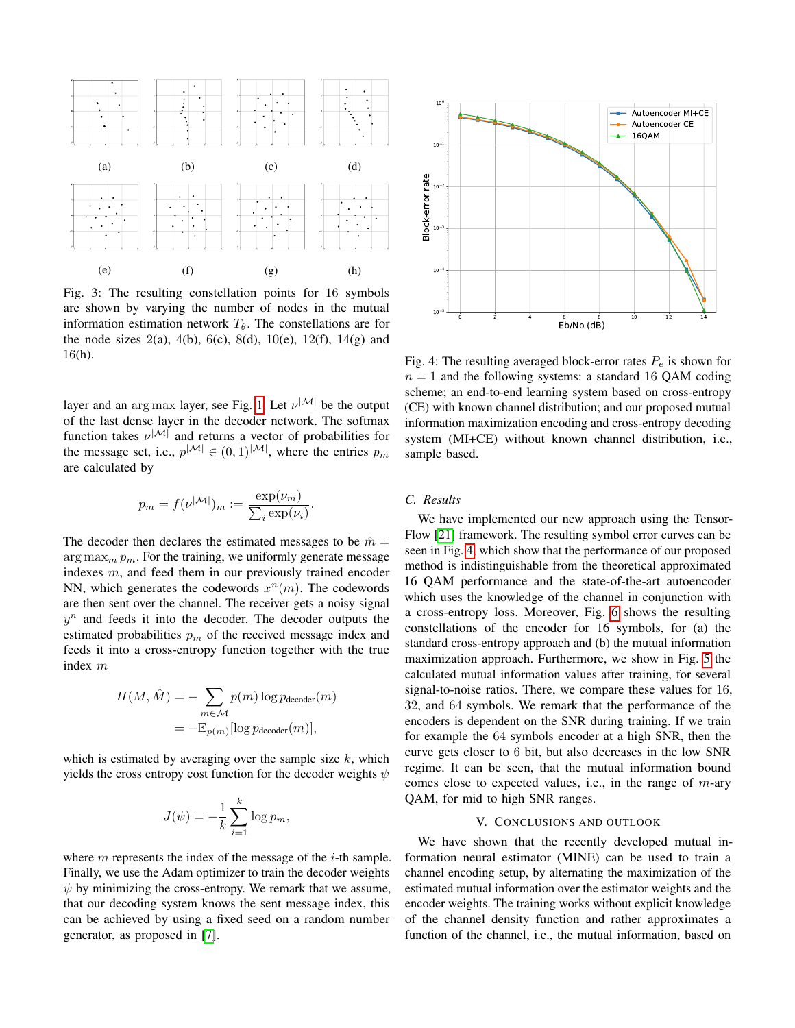<span id="page-3-0"></span>

Fig. 3: The resulting constellation points for 16 symbols are shown by varying the number of nodes in the mutual information estimation network  $T_{\theta}$ . The constellations are for the node sizes  $2(a)$ ,  $4(b)$ ,  $6(c)$ ,  $8(d)$ ,  $10(e)$ ,  $12(f)$ ,  $14(g)$  and 16(h).

layer and an arg max layer, see Fig. [1.](#page-1-0) Let  $\nu^{|\mathcal{M}|}$  be the output of the last dense layer in the decoder network. The softmax function takes  $\nu^{|\mathcal{M}|}$  and returns a vector of probabilities for the message set, i.e.,  $p^{|\mathcal{M}|} \in (0,1)^{|\mathcal{M}|}$ , where the entries  $p_m$ are calculated by

$$
p_m = f(\nu^{|M|})_m := \frac{\exp(\nu_m)}{\sum_i \exp(\nu_i)}
$$

.

The decoder then declares the estimated messages to be  $\hat{m} =$  $\arg \max_m p_m$ . For the training, we uniformly generate message indexes m, and feed them in our previously trained encoder NN, which generates the codewords  $x^n(m)$ . The codewords are then sent over the channel. The receiver gets a noisy signal  $y^n$  and feeds it into the decoder. The decoder outputs the estimated probabilities  $p<sub>m</sub>$  of the received message index and feeds it into a cross-entropy function together with the true index m

$$
H(M, \hat{M}) = -\sum_{m \in \mathcal{M}} p(m) \log p_{\text{decoder}}(m)
$$

$$
= -\mathbb{E}_{p(m)}[\log p_{\text{decoder}}(m)],
$$

which is estimated by averaging over the sample size  $k$ , which yields the cross entropy cost function for the decoder weights  $\psi$ 

$$
J(\psi) = -\frac{1}{k} \sum_{i=1}^{k} \log p_m,
$$

where  $m$  represents the index of the message of the  $i$ -th sample. Finally, we use the Adam optimizer to train the decoder weights  $\psi$  by minimizing the cross-entropy. We remark that we assume, that our decoding system knows the sent message index, this can be achieved by using a fixed seed on a random number generator, as proposed in [\[7\]](#page-4-6).

<span id="page-3-1"></span>

Fig. 4: The resulting averaged block-error rates  $P_e$  is shown for  $n = 1$  and the following systems: a standard 16 QAM coding scheme; an end-to-end learning system based on cross-entropy (CE) with known channel distribution; and our proposed mutual information maximization encoding and cross-entropy decoding system (MI+CE) without known channel distribution, i.e., sample based.

# *C. Results*

We have implemented our new approach using the Tensor-Flow [\[21\]](#page-4-19) framework. The resulting symbol error curves can be seen in Fig. [4,](#page-3-1) which show that the performance of our proposed method is indistinguishable from the theoretical approximated 16 QAM performance and the state-of-the-art autoencoder which uses the knowledge of the channel in conjunction with a cross-entropy loss. Moreover, Fig. [6](#page-4-20) shows the resulting constellations of the encoder for 16 symbols, for (a) the standard cross-entropy approach and (b) the mutual information maximization approach. Furthermore, we show in Fig. [5](#page-4-21) the calculated mutual information values after training, for several signal-to-noise ratios. There, we compare these values for 16, 32, and 64 symbols. We remark that the performance of the encoders is dependent on the SNR during training. If we train for example the 64 symbols encoder at a high SNR, then the curve gets closer to 6 bit, but also decreases in the low SNR regime. It can be seen, that the mutual information bound comes close to expected values, i.e., in the range of  $m$ -ary QAM, for mid to high SNR ranges.

## V. CONCLUSIONS AND OUTLOOK

We have shown that the recently developed mutual information neural estimator (MINE) can be used to train a channel encoding setup, by alternating the maximization of the estimated mutual information over the estimator weights and the encoder weights. The training works without explicit knowledge of the channel density function and rather approximates a function of the channel, i.e., the mutual information, based on